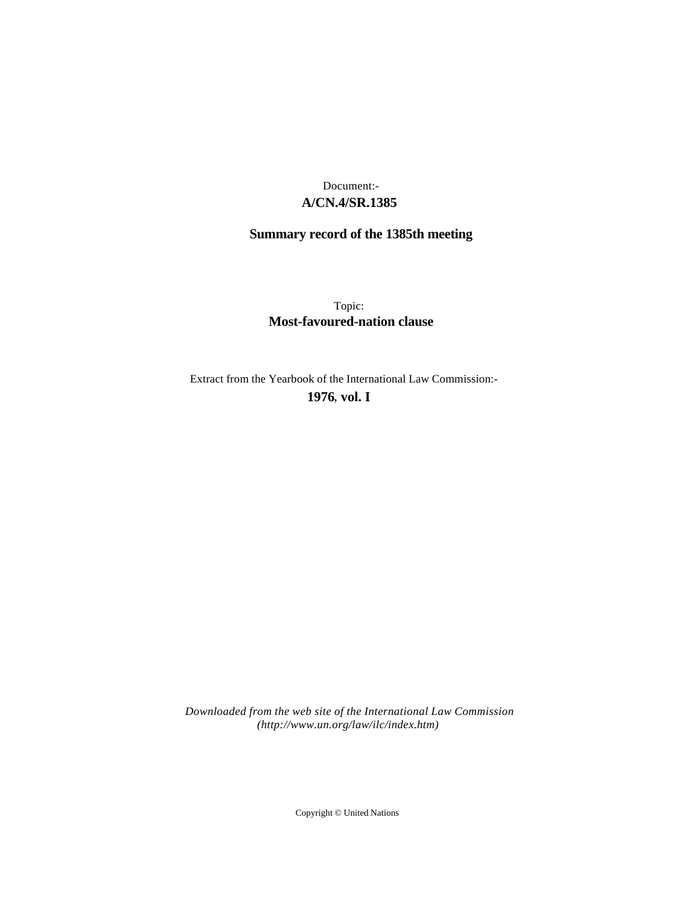# **A/CN.4/SR.1385** Document:-

# **Summary record of the 1385th meeting**

Topic: **Most-favoured-nation clause**

Extract from the Yearbook of the International Law Commission:-

**1976** , **vol. I**

*Downloaded from the web site of the International Law Commission (http://www.un.org/law/ilc/index.htm)*

Copyright © United Nations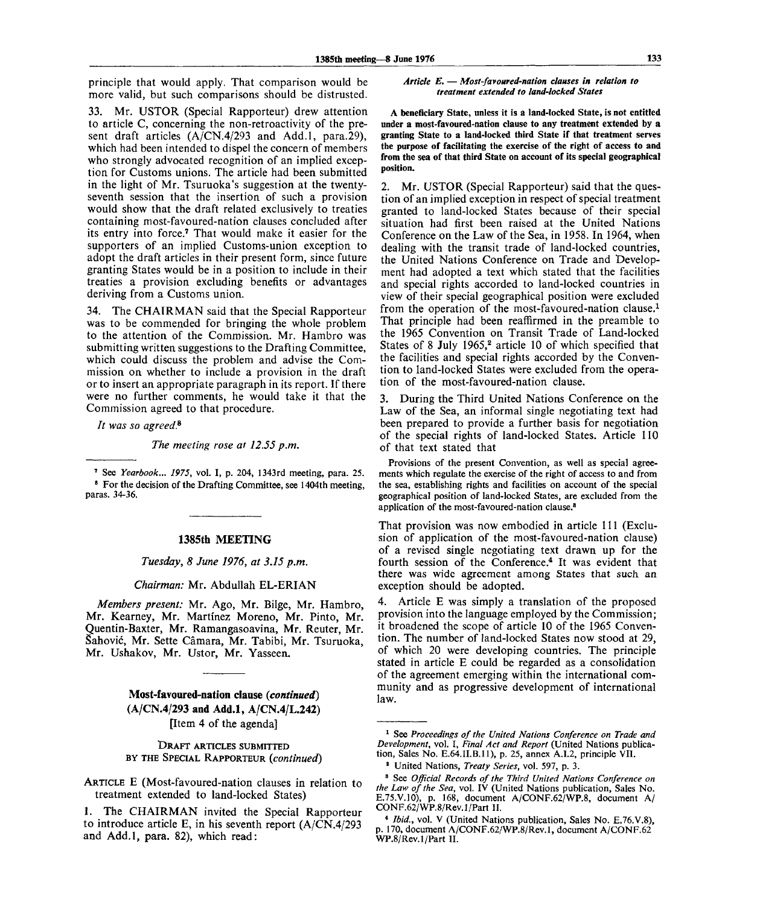principle that would apply. That comparison would be more valid, but such comparisons should be distrusted.

33. Mr. USTOR (Special Rapporteur) drew attention to article C, concerning the non-retroactivity of the present draft articles (A/CN.4/293 and Add.l, para.29), which had been intended to dispel the concern of members who strongly advocated recognition of an implied exception for Customs unions. The article had been submitted in the light of Mr. Tsuruoka's suggestion at the twentyseventh session that the insertion of such a provision would show that the draft related exclusively to treaties containing most-favoured-nation clauses concluded after its entry into force.<sup>7</sup> That would make it easier for the supporters of an implied Customs-union exception to adopt the draft articles in their present form, since future granting States would be in a position to include in their treaties a provision excluding benefits or advantages deriving from a Customs union.

34. The CHAIRMAN said that the Special Rapporteur was to be commended for bringing the whole problem to the attention of the Commission. Mr. Hambro was submitting written suggestions to the Drafting Committee, which could discuss the problem and advise the Commission on whether to include a provision in the draft or to insert an appropriate paragraph in its report. If there were no further comments, he would take it that the Commission agreed to that procedure.

*It was so agreed*.<sup>8</sup>

*The meeting rose at 12.55 p.m.*

7 See *Yearbook... 1975,* vol. I, p. 204, 1343rd meeting, para. 25. <sup>8</sup> For the decision of the Drafting Committee, see 1404th meeting, paras. 34-36.

#### **1385th MEETING**

*Tuesday, 8 June 1976, at 3.15 p.m.*

*Chairman:* Mr. Abdullah EL-ERIAN

*Members present:* Mr. Ago, Mr. Bilge, Mr. Hambro, Mr. Kearney, Mr. Martinez Moreno, Mr. Pinto, Mr. Quentin-Baxter, Mr. Ramangasoavina, Mr. Reuter, Mr. Sahovic, Mr. Sette Camara, Mr. Tabibi, Mr. Tsuruoka, Mr. Ushakov, Mr. Ustor, Mr. Yasseen.

> **Most-favoured-nation clause** *{continued)* **(A/CN.4/293 and Add.l, A/CN.4/L.242)** [Item 4 of the agenda]

DRAFT ARTICLES SUBMITTED BY THE SPECIAL RAPPORTEUR *{continued)*

ARTICLE E (Most-favoured-nation clauses in relation to treatment extended to land-locked States)

#### *Article E.* **—** *Most-favoured-nation clauses in relation to treatment extended to land-locked States*

**A beneficiary State, unless it is a land-locked State, is not entitled under a most-favoured-nation clause to any treatment extended by a granting State to a land-locked third State if that treatment serves the purpose of facilitating the exercise of the right of access to and from the sea of that third State on account of its special geographical position.**

2. Mr. USTOR (Special Rapporteur) said that the question of an implied exception in respect of special treatment granted to land-locked States because of their special situation had first been raised at the United Nations Conference on the Law of the Sea, in 1958. In 1964, when dealing with the transit trade of land-locked countries, the United Nations Conference on Trade and Development had adopted a text which stated that the facilities and special rights accorded to land-locked countries in view of their special geographical position were excluded from the operation of the most-favoured-nation clause.<sup>1</sup> That principle had been reaffirmed in the preamble to the 1965 Convention on Transit Trade of Land-locked States of 8 July 1965,<sup>2</sup> article 10 of which specified that the facilities and special rights accorded by the Convention to land-locked States were excluded from the operation of the most-favoured-nation clause.

3. During the Third United Nations Conference on the Law of the Sea, an informal single negotiating text had been prepared to provide a further basis for negotiation of the special rights of land-locked States. Article 110 of that text stated that

Provisions of the present Convention, as well as special agreements which regulate the exercise of the right of access to and from the sea, establishing rights and facilities on account of the special geographical position of land-locked States, are excluded from the application of the most-favoured-nation clause.<sup>8</sup>

That provision was now embodied in article 111 (Exclusion of application of the most-favoured-nation clause) of a revised single negotiating text drawn up for the fourth session of the Conference.<sup>4</sup> It was evident that there was wide agreement among States that such an exception should be adopted.

4. Article E was simply a translation of the proposed provision into the language employed by the Commission; it broadened the scope of article 10 of the 1965 Convention. The number of land-locked States now stood at 29, of which 20 were developing countries. The principle stated in article E could be regarded as a consolidation of the agreement emerging within the international community and as progressive development of international law.

<sup>1.</sup> The CHAIRMAN invited the Special Rapporteur to introduce article E, in his seventh report (A/CN.4/293 and Add.l, para. 82), which read:

<sup>&</sup>lt;sup>1</sup> See Proceedings of the United Nations Conference on Trade and *Development,* vol. I, *Final Act and Report* (United Nations publication, Sales No. E.64.II.B.11), p. 25, annex A.I.2, principle VII.

<sup>2</sup> United Nations, *Treaty Series,* vol. 597, p. 3.

<sup>3</sup> See *Official Records of the Third United Nations Conference on the Law of the Sea,* vol. IV (United Nations publication, Sales No. E.75.V.10), p. 168, document A/CONF.62/WP.8, document A/ CONF.62/WP.8/Rev.l/Part II.

<sup>\*</sup> *Ibid.,* vol. V (United Nations publication, Sales No. E.76.V.8), p. 170, document A/CONF.62/WP.8/Rev.l, document A/CONF.62 WP.8/Rev.l/Part II.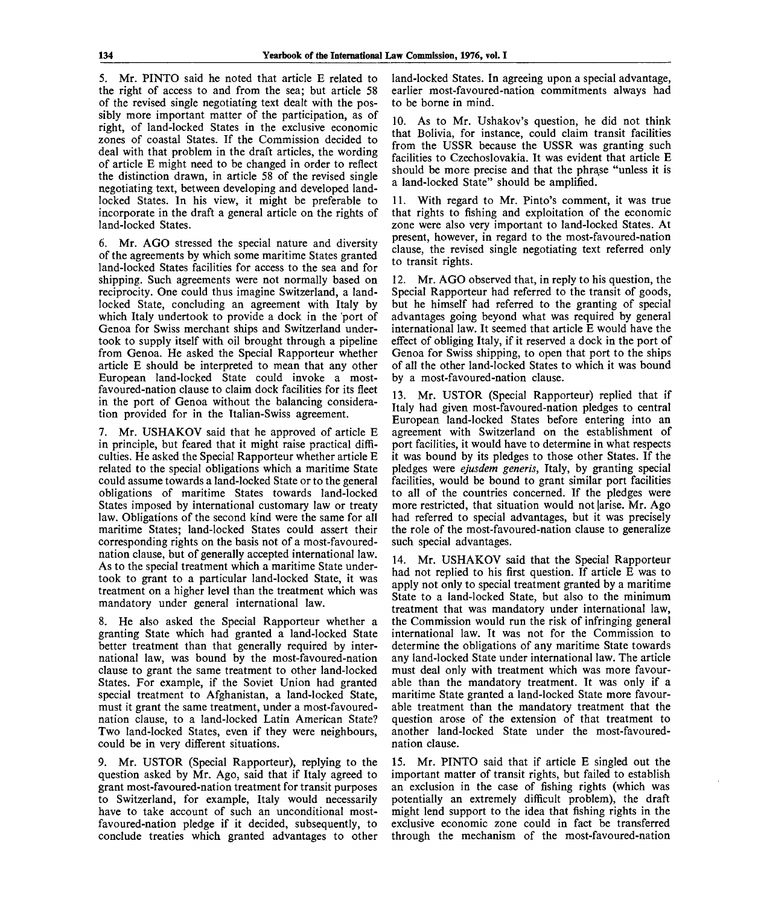5. Mr. PINTO said he noted that article E related to the right of access to and from the sea; but article 58 of the revised single negotiating text dealt with the possibly more important matter of the participation, as of right, of land-locked States in the exclusive economic zones of coastal States. If the Commission decided to deal with that problem in the draft articles, the wording of article E might need to be changed in order to reflect the distinction drawn, in article 58 of the revised single negotiating text, between developing and developed landlocked States. In his view, it might be preferable to incorporate in the draft a general article on the rights of land-locked States.

6. Mr. AGO stressed the special nature and diversity of the agreements by which some maritime States granted land-locked States facilities for access to the sea and for shipping. Such agreements were not normally based on reciprocity. One could thus imagine Switzerland, a landlocked State, concluding an agreement with Italy by which Italy undertook to provide a dock in the 'port of Genoa for Swiss merchant ships and Switzerland undertook to supply itself with oil brought through a pipeline from Genoa. He asked the Special Rapporteur whether article E should be interpreted to mean that any other European land-locked State could invoke a mostfavoured-nation clause to claim dock facilities for its fleet in the port of Genoa without the balancing consideration provided for in the Italian-Swiss agreement.

7. Mr. USHAKOV said that he approved of article E in principle, but feared that it might raise practical difficulties. He asked the Special Rapporteur whether article E related to the special obligations which a maritime State could assume towards a land-locked State or to the general obligations of maritime States towards land-locked States imposed by international customary law or treaty law. Obligations of the second kind were the same for all maritime States; land-locked States could assert their corresponding rights on the basis not of a most-favourednation clause, but of generally accepted international law. As to the special treatment which a maritime State undertook to grant to a particular land-locked State, it was treatment on a higher level than the treatment which was mandatory under general international law.

8. He also asked the Special Rapporteur whether a granting State which had granted a land-locked State better treatment than that generally required by international law, was bound by the most-favoured-nation clause to grant the same treatment to other land-locked States. For example, if the Soviet Union had granted special treatment to Afghanistan, a land-locked State, must it grant the same treatment, under a most-favourednation clause, to a land-locked Latin American State? Two land-locked States, even if they were neighbours, could be in very different situations.

9. Mr. USTOR (Special Rapporteur), replying to the question asked by Mr. Ago, said that if Italy agreed to grant most-favoured-nation treatment for transit purposes to Switzerland, for example, Italy would necessarily have to take account of such an unconditional mostfavoured-nation pledge if it decided, subsequently, to conclude treaties which granted advantages to other land-locked States. In agreeing upon a special advantage, earlier most-favoured-nation commitments always had to be borne in mind.

10. As to Mr. Ushakov's question, he did not think that Bolivia, for instance, could claim transit facilities from the USSR because the USSR was granting such facilities to Czechoslovakia. It was evident that article E should be more precise and that the phrase "unless it is a land-locked State" should be amplified.

11. With regard to Mr. Pinto's comment, it was true that rights to fishing and exploitation of the economic zone were also very important to land-locked States. At present, however, in regard to the most-favoured-nation clause, the revised single negotiating text referred only to transit rights.

12. Mr. AGO observed that, in reply to his question, the Special Rapporteur had referred to the transit of goods, but he himself had referred to the granting of special advantages going beyond what was required by general international law. It seemed that article E would have the effect of obliging Italy, if it reserved a dock in the port of Genoa for Swiss shipping, to open that port to the ships of all the other land-locked States to which it was bound by a most-favoured-nation clause.

13. Mr. USTOR (Special Rapporteur) replied that if Italy had given most-favoured-nation pledges to central European land-locked States before entering into an agreement with Switzerland on the establishment of port facilities, it would have to determine in what respects it was bound by its pledges to those other States. If the pledges were *ejusdem generis,* Italy, by granting special facilities, would be bound to grant similar port facilities to all of the countries concerned. If the pledges were more restricted, that situation would not arise. Mr. Ago had referred to special advantages, but it was precisely the role of the most-favoured-nation clause to generalize such special advantages.

14. Mr. USHAKOV said that the Special Rapporteur had not replied to his first question. If article E was to apply not only to special treatment granted by a maritime State to a land-locked State, but also to the minimum treatment that was mandatory under international law, the Commission would run the risk of infringing general international law. It was not for the Commission to determine the obligations of any maritime State towards any land-locked State under international law. The article must deal only with treatment which was more favourable than the mandatory treatment. It was only if a maritime State granted a land-locked State more favourable treatment than the mandatory treatment that the question arose of the extension of that treatment to another land-locked State under the most-favourednation clause.

15. Mr. PINTO said that if article E singled out the important matter of transit rights, but failed to establish an exclusion in the case of fishing rights (which was potentially an extremely difficult problem), the draft might lend support to the idea that fishing rights in the exclusive economic zone could in fact be transferred through the mechanism of the most-favoured-nation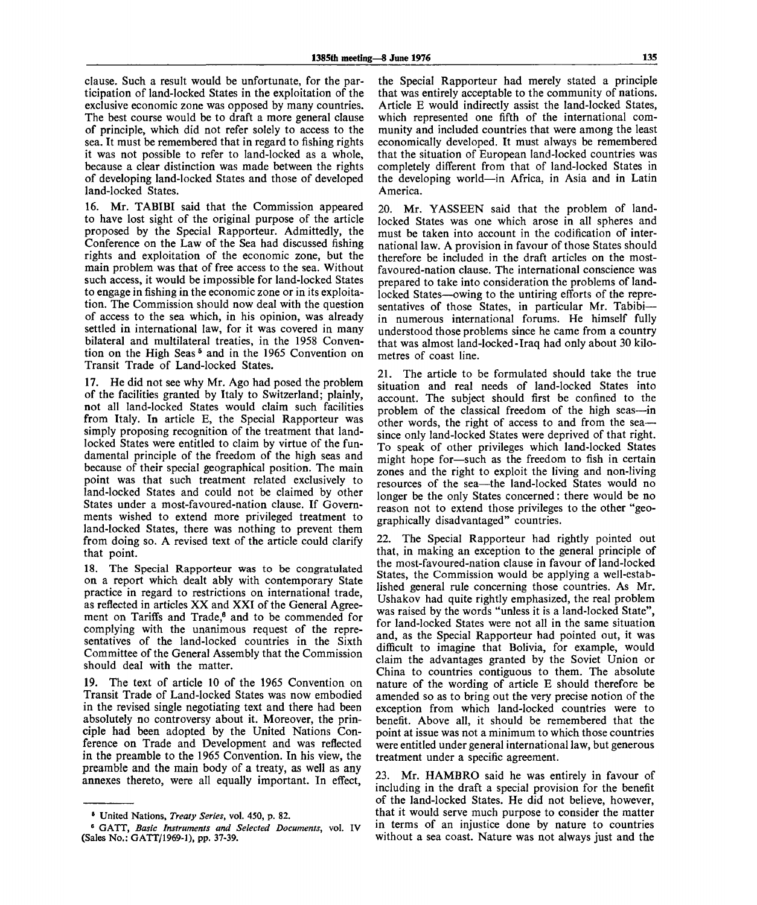clause. Such a result would be unfortunate, for the participation of land-locked States in the exploitation of the exclusive economic zone was opposed by many countries. The best course would be to draft a more general clause of principle, which did not refer solely to access to the sea. It must be remembered that in regard to fishing rights it was not possible to refer to land-locked as a whole, because a clear distinction was made between the rights of developing land-locked States and those of developed land-locked States.

16. Mr. TABIBI said that the Commission appeared to have lost sight of the original purpose of the article proposed by the Special Rapporteur. Admittedly, the Conference on the Law of the Sea had discussed fishing rights and exploitation of the economic zone, but the main problem was that of free access to the sea. Without such access, it would be impossible for land-locked States to engage in fishing in the economic zone or in its exploitation. The Commission should now deal with the question of access to the sea which, in his opinion, was already settled in international law, for it was covered in many bilateral and multilateral treaties, in the 1958 Convention on the High Seas<sup>5</sup> and in the 1965 Convention on Transit Trade of Land-locked States.

17. He did not see why Mr. Ago had posed the problem of the facilities granted by Italy to Switzerland; plainly, not all land-locked States would claim such facilities from Italy. In article E, the Special Rapporteur was simply proposing recognition of the treatment that landlocked States were entitled to claim by virtue of the fundamental principle of the freedom of the high seas and because of their special geographical position. The main point was that such treatment related exclusively to land-locked States and could not be claimed by other States under a most-favoured-nation clause. If Governments wished to extend more privileged treatment to land-locked States, there was nothing to prevent them from doing so. A revised text of the article could clarify that point.

18. The Special Rapporteur was to be congratulated on a report which dealt ably with contemporary State practice in regard to restrictions on international trade, as reflected in articles XX and XXI of the General Agreement on Tariffs and Trade,<sup>6</sup> and to be commended for complying with the unanimous request of the representatives of the land-locked countries in the Sixth Committee of the General Assembly that the Commission should deal with the matter.

19. The text of article 10 of the 1965 Convention on Transit Trade of Land-locked States was now embodied in the revised single negotiating text and there had been absolutely no controversy about it. Moreover, the principle had been adopted by the United Nations Conference on Trade and Development and was reflected in the preamble to the 1965 Convention. In his view, the preamble and the main body of a treaty, as well as any annexes thereto, were all equally important. In effect,

the Special Rapporteur had merely stated a principle that was entirely acceptable to the community of nations. Article E would indirectly assist the land-locked States, which represented one fifth of the international community and included countries that were among the least economically developed. It must always be remembered that the situation of European land-locked countries was completely different from that of land-locked States in the developing world—in Africa, in Asia and in Latin America.

20. Mr. YASSEEN said that the problem of landlocked States was one which arose in all spheres and must be taken into account in the codification of international law. A provision in favour of those States should therefore be included in the draft articles on the mostfavoured-nation clause. The international conscience was prepared to take into consideration the problems of landlocked States—owing to the untiring efforts of the representatives of those States, in particular Mr. Tabibi in numerous international forums. He himself fully understood those problems since he came from a country that was almost land-locked-Iraq had only about 30 kilometres of coast line.

21. The article to be formulated should take the true situation and real needs of land-locked States into account. The subject should first be confined to the problem of the classical freedom of the high seas—in other words, the right of access to and from the sea since only land-locked States were deprived of that right. To speak of other privileges which land-locked States might hope for—such as the freedom to fish in certain zones and the right to exploit the living and non-living resources of the sea—the land-locked States would no longer be the only States concerned: there would be no reason not to extend those privileges to the other "geographically disadvantaged" countries.

22. The Special Rapporteur had rightly pointed out that, in making an exception to the general principle of the most-favoured-nation clause in favour of land-locked States, the Commission would be applying a well-established general rule concerning those countries. As Mr. Ushakov had quite rightly emphasized, the real problem was raised by the words "unless it is a land-locked State", for land-locked States were not all in the same situation and, as the Special Rapporteur had pointed out, it was difficult to imagine that Bolivia, for example, would claim the advantages granted by the Soviet Union or China to countries contiguous to them. The absolute nature of the wording of article E should therefore be amended so as to bring out the very precise notion of the exception from which land-locked countries were to benefit. Above all, it should be remembered that the point at issue was not a minimum to which those countries were entitled under general international law, but generous treatment under a specific agreement.

23. Mr. HAMBRO said he was entirely in favour of including in the draft a special provision for the benefit of the land-locked States. He did not believe, however, that it would serve much purpose to consider the matter in terms of an injustice done by nature to countries without a sea coast. Nature was not always just and the

<sup>5</sup> United Nations, *Treaty Series,* vol. 450, p. 82.

<sup>6</sup> GATT, *Basic Instruments and Selected Documents,* vol. IV (Sales No.: GATT/1969-1), pp. 37-39.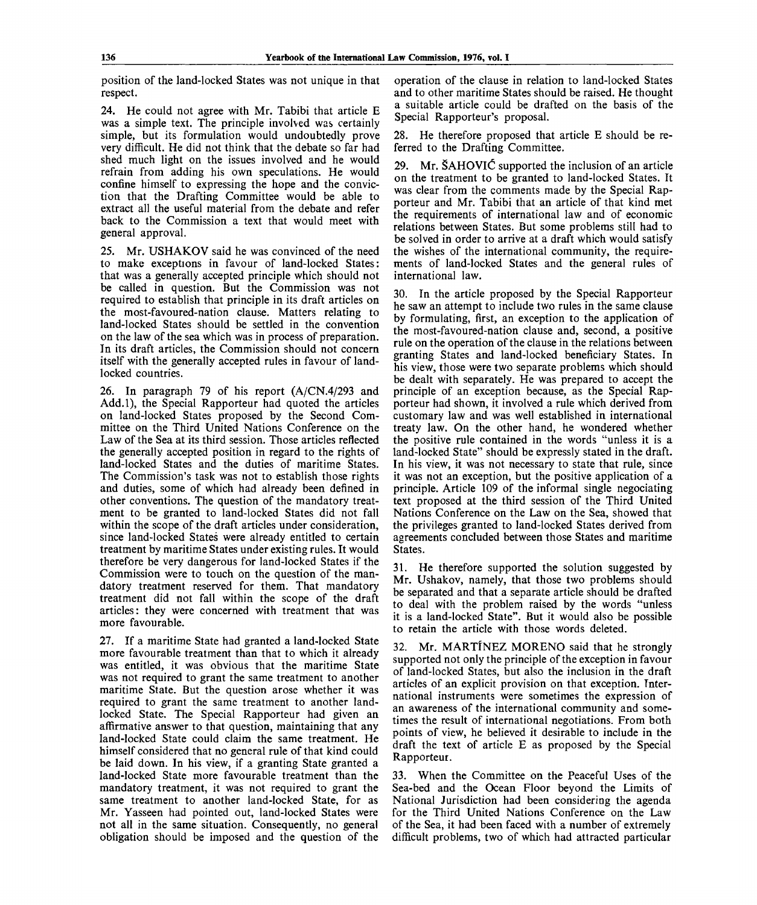position of the land-locked States was not unique in that respect.

24. He could not agree with Mr. Tabibi that article E was a simple text. The principle involved was certainly simple, but its formulation would undoubtedly prove very difficult. He did not think that the debate so far had shed much light on the issues involved and he would refrain from adding his own speculations. He would confine himself to expressing the hope and the conviction that the Drafting Committee would be able to extract all the useful material from the debate and refer back to the Commission a text that would meet with general approval.

25. Mr. USHAKOV said he was convinced of the need to make exceptions in favour of land-locked States: that was a generally accepted principle which should not be called in question. But the Commission was not required to establish that principle in its draft articles on the most-favoured-nation clause. Matters relating to land-locked States should be settled in the convention on the law of the sea which was in process of preparation. In its draft articles, the Commission should not concern itself with the generally accepted rules in favour of landlocked countries.

26. In paragraph 79 of his report (A/CN.4/293 and Add.l), the Special Rapporteur had quoted the articles on land-locked States proposed by the Second Committee on the Third United Nations Conference on the Law of the Sea at its third session. Those articles reflected the generally accepted position in regard to the rights of land-locked States and the duties of maritime States. The Commission's task was not to establish those rights and duties, some of which had already been defined in other conventions. The question of the mandatory treatment to be granted to land-locked States did not fall within the scope of the draft articles under consideration, since land-locked States were already entitled to certain treatment by maritime States under existing rules. It would therefore be very dangerous for land-locked States if the Commission were to touch on the question of the mandatory treatment reserved for them. That mandatory treatment did not fall within the scope of the draft articles: they were concerned with treatment that was more favourable.

27. If a maritime State had granted a land-locked State more favourable treatment than that to which it already was entitled, it was obvious that the maritime State was not required to grant the same treatment to another maritime State. But the question arose whether it was required to grant the same treatment to another landlocked State. The Special Rapporteur had given an affirmative answer to that question, maintaining that any land-locked State could claim the same treatment. He himself considered that no general rule of that kind could be laid down. In his view, if a granting State granted a land-locked State more favourable treatment than the mandatory treatment, it was not required to grant the same treatment to another land-locked State, for as Mr. Yasseen had pointed out, land-locked States were not all in the same situation. Consequently, no general obligation should be imposed and the question of the

operation of the clause in relation to land-locked States and to other maritime States should be raised. He thought a suitable article could be drafted on the basis of the Special Rapporteur's proposal.

28. He therefore proposed that article E should be referred to the Drafting Committee.

29. Mr. SAHOVlC supported the inclusion of an article on the treatment to be granted to land-locked States. It was clear from the comments made by the Special Rapporteur and Mr. Tabibi that an article of that kind met the requirements of international law and of economic relations between States. But some problems still had to be solved in order to arrive at a draft which would satisfy the wishes of the international community, the requirements of land-locked States and the general rules of international law.

30. In the article proposed by the Special Rapporteur he saw an attempt to include two rules in the same clause by formulating, first, an exception to the application of the most-favoured-nation clause and, second, a positive rule on the operation of the clause in the relations between granting States and land-locked beneficiary States. In his view, those were two separate problems which should be dealt with separately. He was prepared to accept the principle of an exception because, as the Special Rapporteur had shown, it involved a rule which derived from customary law and was well established in international treaty law. On the other hand, he wondered whether the positive rule contained in the words "unless it is a land-locked State" should be expressly stated in the draft. In his view, it was not necessary to state that rule, since it was not an exception, but the positive application of a principle. Article 109 of the informal single negociating text proposed at the third session of the Third United Nations Conference on the Law on the Sea, showed that the privileges granted to land-locked States derived from agreements concluded between those States and maritime States.

31. He therefore supported the solution suggested by Mr. Ushakov, namely, that those two problems should be separated and that a separate article should be drafted to deal with the problem raised by the words "unless it is a land-locked State". But it would also be possible to retain the article with those words deleted.

32. Mr. MARTINEZ MORENO said that he strongly supported not only the principle of the exception in favour of land-locked States, but also the inclusion in the draft articles of an explicit provision on that exception. International instruments were sometimes the expression of an awareness of the international community and sometimes the result of international negotiations. From both points of view, he believed it desirable to include in the draft the text of article E as proposed by the Special Rapporteur.

33. When the Committee on the Peaceful Uses of the Sea-bed and the Ocean Floor beyond the Limits of National Jurisdiction had been considering the agenda for the Third United Nations Conference on the Law of the Sea, it had been faced with a number of extremely difficult problems, two of which had attracted particular